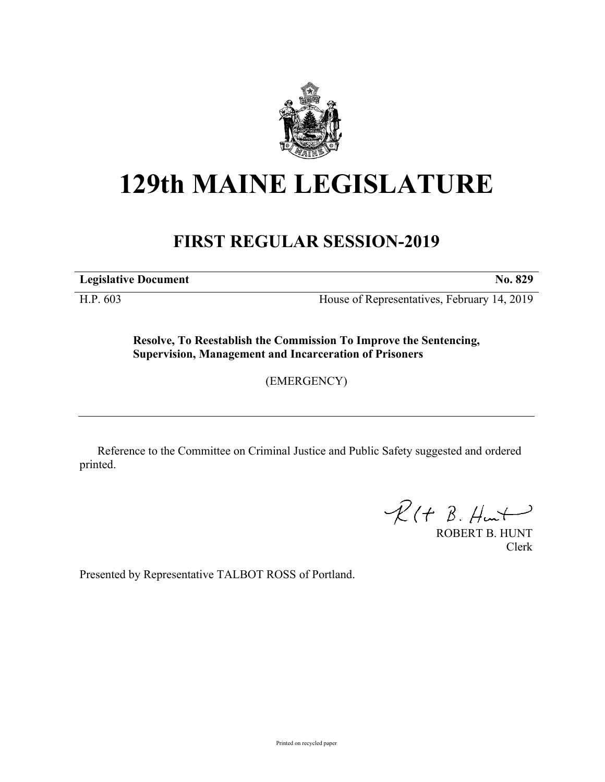

## **129th MAINE LEGISLATURE**

## **FIRST REGULAR SESSION-2019**

**Legislative Document No. 829**

H.P. 603 House of Representatives, February 14, 2019

**Resolve, To Reestablish the Commission To Improve the Sentencing, Supervision, Management and Incarceration of Prisoners**

(EMERGENCY)

Reference to the Committee on Criminal Justice and Public Safety suggested and ordered printed.

 $R(H B. H<sub>un</sub>)$ 

ROBERT B. HUNT Clerk

Presented by Representative TALBOT ROSS of Portland.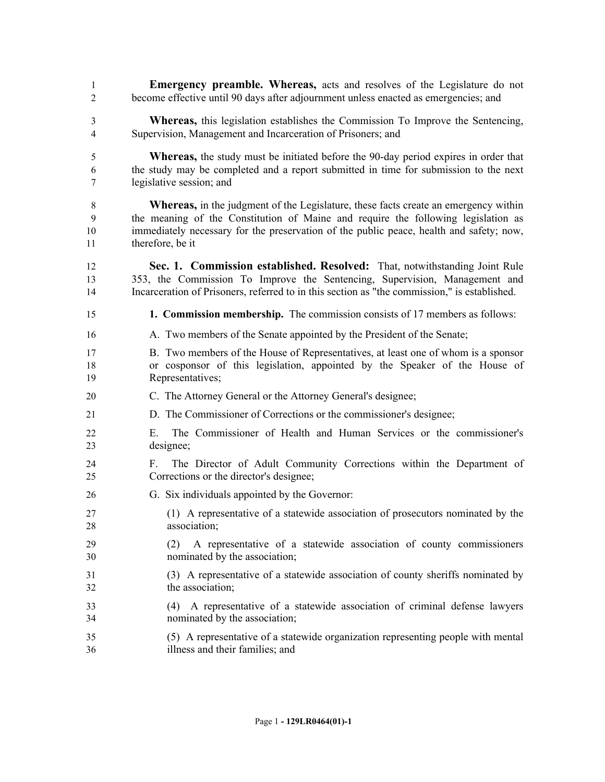**Emergency preamble. Whereas,** acts and resolves of the Legislature do not become effective until 90 days after adjournment unless enacted as emergencies; and **Whereas,** this legislation establishes the Commission To Improve the Sentencing, Supervision, Management and Incarceration of Prisoners; and **Whereas,** the study must be initiated before the 90-day period expires in order that the study may be completed and a report submitted in time for submission to the next legislative session; and **Whereas,** in the judgment of the Legislature, these facts create an emergency within the meaning of the Constitution of Maine and require the following legislation as immediately necessary for the preservation of the public peace, health and safety; now, therefore, be it **Sec. 1. Commission established. Resolved:** That, notwithstanding Joint Rule 353, the Commission To Improve the Sentencing, Supervision, Management and Incarceration of Prisoners, referred to in this section as "the commission," is established. **1. Commission membership.** The commission consists of 17 members as follows: A. Two members of the Senate appointed by the President of the Senate; B. Two members of the House of Representatives, at least one of whom is a sponsor or cosponsor of this legislation, appointed by the Speaker of the House of Representatives; C. The Attorney General or the Attorney General's designee; D. The Commissioner of Corrections or the commissioner's designee; E. The Commissioner of Health and Human Services or the commissioner's designee; F. The Director of Adult Community Corrections within the Department of Corrections or the director's designee; G. Six individuals appointed by the Governor: (1) A representative of a statewide association of prosecutors nominated by the association; (2) A representative of a statewide association of county commissioners nominated by the association; (3) A representative of a statewide association of county sheriffs nominated by the association; (4) A representative of a statewide association of criminal defense lawyers nominated by the association; (5) A representative of a statewide organization representing people with mental illness and their families; and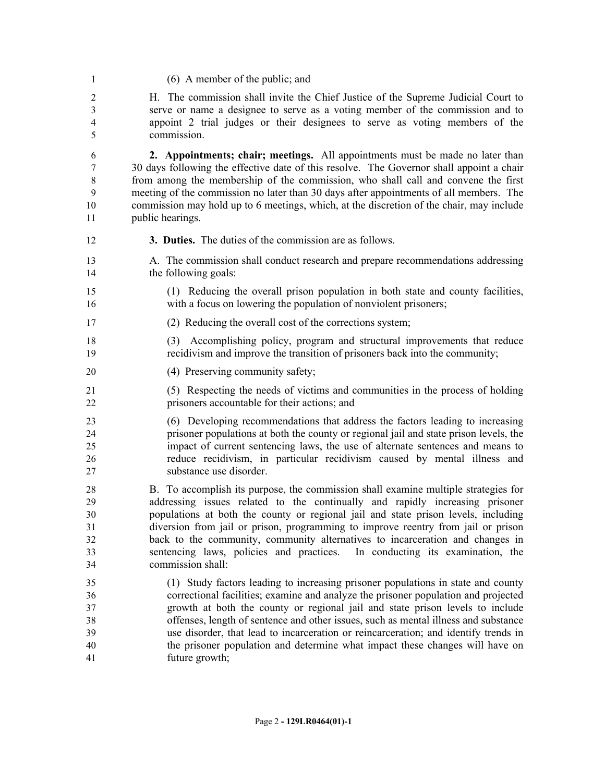(6) A member of the public; and

 H. The commission shall invite the Chief Justice of the Supreme Judicial Court to serve or name a designee to serve as a voting member of the commission and to appoint 2 trial judges or their designees to serve as voting members of the commission.

 **2. Appointments; chair; meetings.** All appointments must be made no later than 30 days following the effective date of this resolve. The Governor shall appoint a chair from among the membership of the commission, who shall call and convene the first meeting of the commission no later than 30 days after appointments of all members. The commission may hold up to 6 meetings, which, at the discretion of the chair, may include public hearings.

- **3. Duties.** The duties of the commission are as follows.
- A. The commission shall conduct research and prepare recommendations addressing 14 the following goals:
- (1) Reducing the overall prison population in both state and county facilities, with a focus on lowering the population of nonviolent prisoners;
- (2) Reducing the overall cost of the corrections system;
- (3) Accomplishing policy, program and structural improvements that reduce recidivism and improve the transition of prisoners back into the community;
- 20 (4) Preserving community safety;
- (5) Respecting the needs of victims and communities in the process of holding prisoners accountable for their actions; and
- (6) Developing recommendations that address the factors leading to increasing prisoner populations at both the county or regional jail and state prison levels, the impact of current sentencing laws, the use of alternate sentences and means to reduce recidivism, in particular recidivism caused by mental illness and substance use disorder.

 B. To accomplish its purpose, the commission shall examine multiple strategies for addressing issues related to the continually and rapidly increasing prisoner populations at both the county or regional jail and state prison levels, including diversion from jail or prison, programming to improve reentry from jail or prison back to the community, community alternatives to incarceration and changes in sentencing laws, policies and practices. In conducting its examination, the commission shall:

 (1) Study factors leading to increasing prisoner populations in state and county correctional facilities; examine and analyze the prisoner population and projected growth at both the county or regional jail and state prison levels to include offenses, length of sentence and other issues, such as mental illness and substance use disorder, that lead to incarceration or reincarceration; and identify trends in the prisoner population and determine what impact these changes will have on future growth;